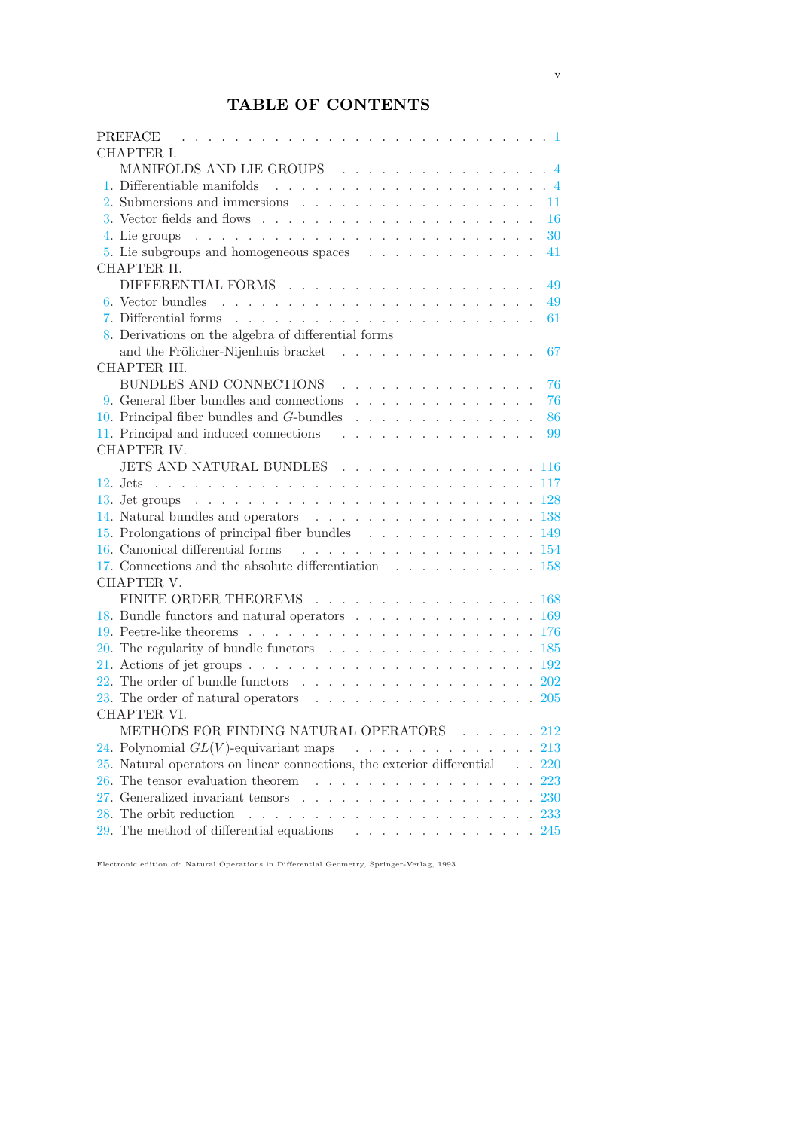## TABLE OF CONTENTS

| <b>PREFACE</b><br>. The contract of the contract of the contract of the contract of $\mathbb{C}^2$                                    |  |  |  |  |  |            |
|---------------------------------------------------------------------------------------------------------------------------------------|--|--|--|--|--|------------|
| CHAPTER I.                                                                                                                            |  |  |  |  |  |            |
| MANIFOLDS AND LIE GROUPS $\ldots \ldots \ldots \ldots \ldots \ldots$                                                                  |  |  |  |  |  |            |
|                                                                                                                                       |  |  |  |  |  |            |
|                                                                                                                                       |  |  |  |  |  | 11         |
| 3. Vector fields and flows $\ldots$ $\ldots$ $\ldots$ $\ldots$ $\ldots$ $\ldots$ $\ldots$ $\ldots$                                    |  |  |  |  |  | 16         |
|                                                                                                                                       |  |  |  |  |  | 30         |
|                                                                                                                                       |  |  |  |  |  | 41         |
| CHAPTER II.                                                                                                                           |  |  |  |  |  |            |
|                                                                                                                                       |  |  |  |  |  | 49         |
|                                                                                                                                       |  |  |  |  |  | 49         |
|                                                                                                                                       |  |  |  |  |  | 61         |
| 8. Derivations on the algebra of differential forms                                                                                   |  |  |  |  |  |            |
| and the Frölicher-Nijenhuis bracket                                                                                                   |  |  |  |  |  | 67         |
| CHAPTER III.                                                                                                                          |  |  |  |  |  |            |
| BUNDLES AND CONNECTIONS<br><u>.</u>                                                                                                   |  |  |  |  |  | 76         |
|                                                                                                                                       |  |  |  |  |  | 76         |
|                                                                                                                                       |  |  |  |  |  | 86         |
| 11. Principal and induced connections                                                                                                 |  |  |  |  |  | 99         |
| CHAPTER IV.                                                                                                                           |  |  |  |  |  |            |
| JETS AND NATURAL BUNDLES 116                                                                                                          |  |  |  |  |  |            |
|                                                                                                                                       |  |  |  |  |  |            |
|                                                                                                                                       |  |  |  |  |  |            |
| 14. Natural bundles and operators $\ldots \ldots \ldots \ldots \ldots \ldots \ldots 138$                                              |  |  |  |  |  |            |
| 15. Prolongations of principal fiber bundles 149                                                                                      |  |  |  |  |  |            |
| 16. Canonical differential forms 154                                                                                                  |  |  |  |  |  |            |
| 17. Connections and the absolute differentiation $\ldots \ldots \ldots \ldots \ldots 158$                                             |  |  |  |  |  |            |
| CHAPTER V.                                                                                                                            |  |  |  |  |  |            |
| FINITE ORDER THEOREMS 168                                                                                                             |  |  |  |  |  |            |
| 18. Bundle functors and natural operators $\ldots \ldots \ldots \ldots \ldots \ldots 169$                                             |  |  |  |  |  |            |
|                                                                                                                                       |  |  |  |  |  |            |
| 20. The regularity of bundle functors $\ldots$ 185                                                                                    |  |  |  |  |  |            |
| 21. Actions of jet groups $\ldots$ $\ldots$ $\ldots$ $\ldots$ $\ldots$ $\ldots$ $\ldots$ $\ldots$ $\ldots$ $\ldots$ $\ldots$ $\ldots$ |  |  |  |  |  |            |
| 22. The order of bundle functors $\ldots \ldots \ldots \ldots \ldots \ldots \ldots 202$                                               |  |  |  |  |  |            |
| 23. The order of natural operators $\ldots$ 205                                                                                       |  |  |  |  |  |            |
| CHAPTER VI.                                                                                                                           |  |  |  |  |  |            |
| METHODS FOR FINDING NATURAL OPERATORS                                                                                                 |  |  |  |  |  | 212        |
| 24. Polynomial $GL(V)$ -equivariant maps<br>and a series and a series                                                                 |  |  |  |  |  | <b>213</b> |
| $25.$ Natural operators on linear connections, the exterior differential                                                              |  |  |  |  |  | 220        |
| 26. The tensor evaluation theorem<br><u>na kara sa sara sa sa</u>                                                                     |  |  |  |  |  | 223        |
| 27. Generalized invariant tensors                                                                                                     |  |  |  |  |  | 230        |
| 28. The orbit reduction<br>and the contract of the con-                                                                               |  |  |  |  |  | <b>233</b> |
| $29.$ The method of differential equations<br>$\ddot{\phantom{0}}$                                                                    |  |  |  |  |  | 245        |
|                                                                                                                                       |  |  |  |  |  |            |

Electronic edition of: Natural Operations in Differential Geometry, Springer-Verlag, 1993